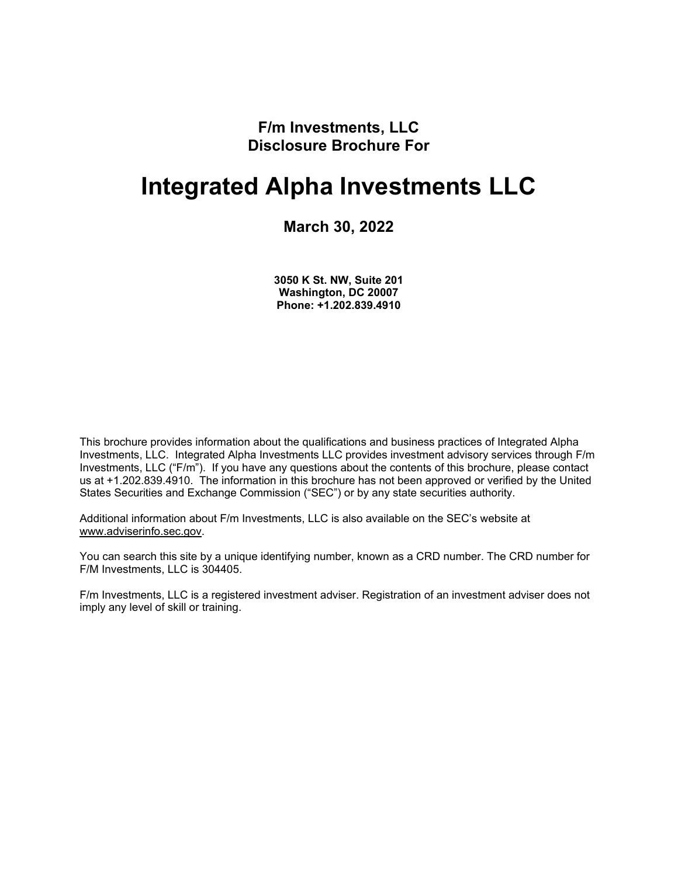**F/m Investments, LLC Disclosure Brochure For**

# **Integrated Alpha Investments LLC**

### **March 30, 2022**

**3050 K St. NW, Suite 201 Washington, DC 20007 Phone: +1.202.839.4910**

<span id="page-0-0"></span>This brochure provides information about the qualifications and business practices of Integrated Alpha Investments, LLC. Integrated Alpha Investments LLC provides investment advisory services through F/m Investments, LLC ("F/m"). If you have any questions about the contents of this brochure, please contact us at +1.202.839.4910. The information in this brochure has not been approved or verified by the United States Securities and Exchange Commission ("SEC") or by any state securities authority.

Additional information about F/m Investments, LLC is also available on the SEC's website at [www.adviserinfo.sec.gov.](http://www.adviserinfo.sec.gov/)

You can search this site by a unique identifying number, known as a CRD number. The CRD number for F/M Investments, LLC is 304405.

F/m Investments, LLC is a registered investment adviser. Registration of an investment adviser does not imply any level of skill or training.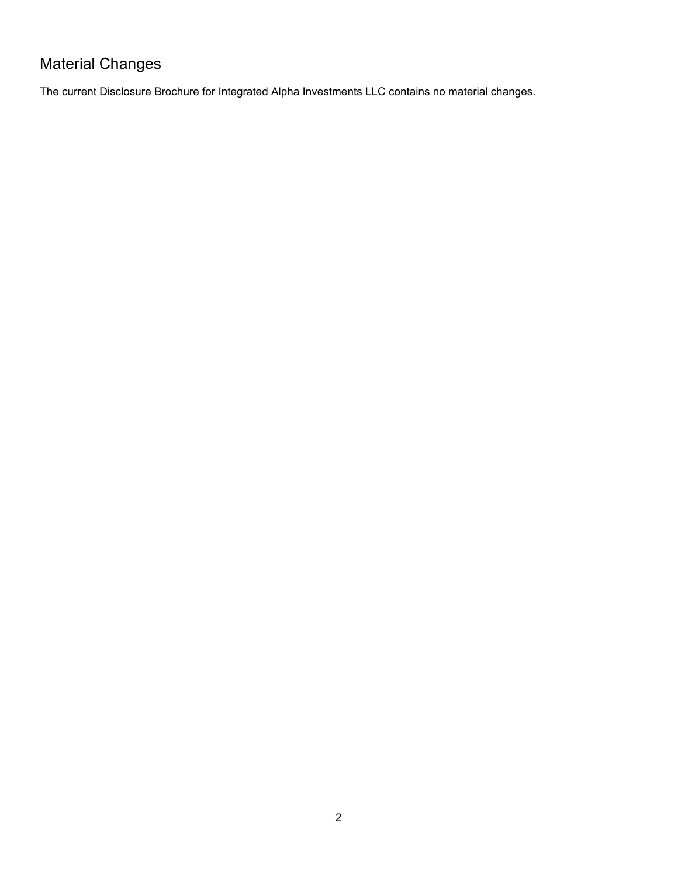## <span id="page-1-0"></span>Material Changes

The current Disclosure Brochure for Integrated Alpha Investments LLC contains no material changes.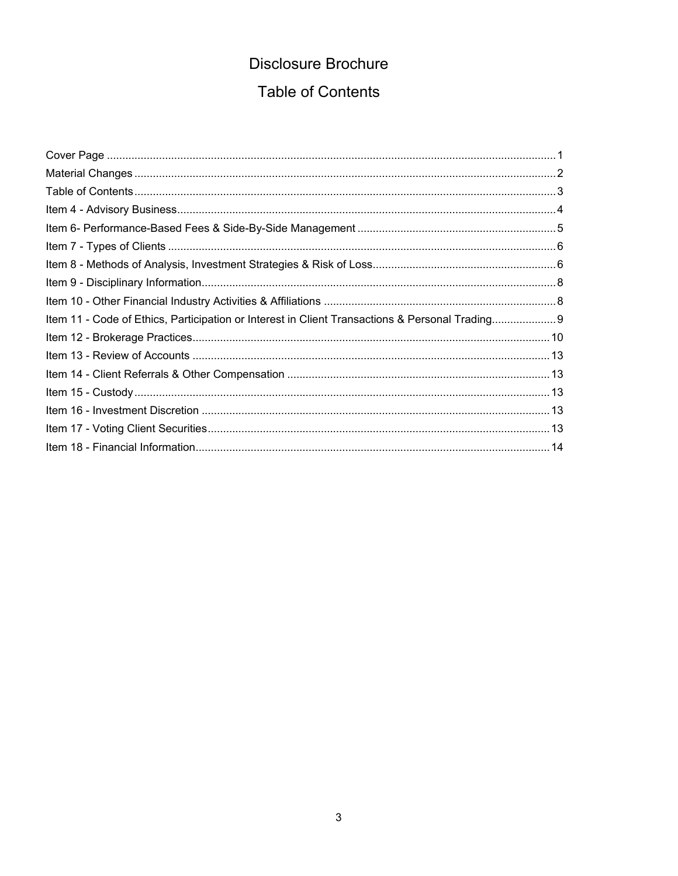## Disclosure Brochure **Table of Contents**

<span id="page-2-0"></span>

| Item 11 - Code of Ethics, Participation or Interest in Client Transactions & Personal Trading 9 |  |
|-------------------------------------------------------------------------------------------------|--|
|                                                                                                 |  |
|                                                                                                 |  |
|                                                                                                 |  |
|                                                                                                 |  |
|                                                                                                 |  |
|                                                                                                 |  |
|                                                                                                 |  |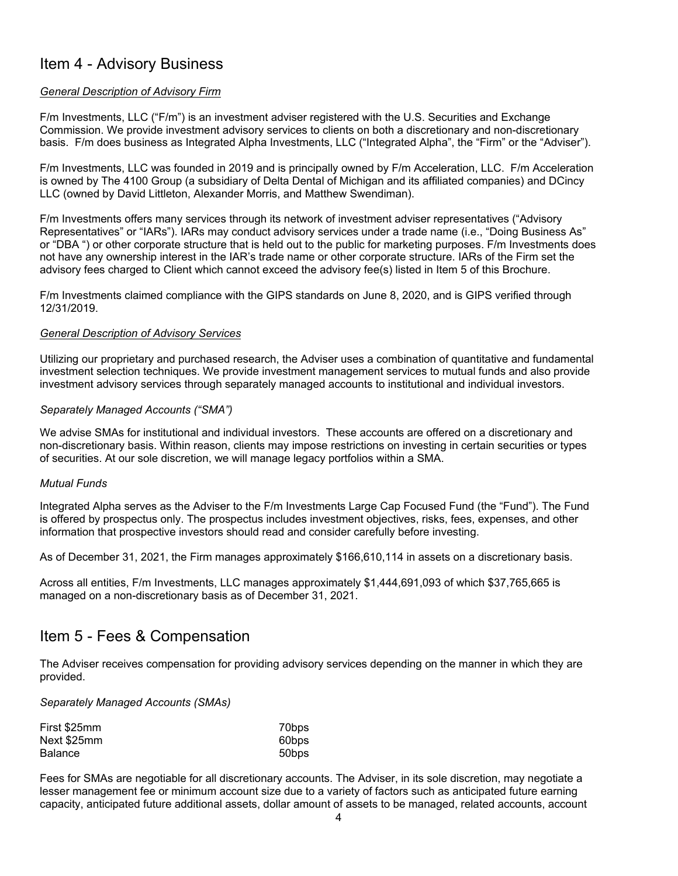### <span id="page-3-0"></span>Item 4 - Advisory Business

#### *General Description of Advisory Firm*

F/m Investments, LLC ("F/m") is an investment adviser registered with the U.S. Securities and Exchange Commission. We provide investment advisory services to clients on both a discretionary and non-discretionary basis. F/m does business as Integrated Alpha Investments, LLC ("Integrated Alpha", the "Firm" or the "Adviser").

F/m Investments, LLC was founded in 2019 and is principally owned by F/m Acceleration, LLC. F/m Acceleration is owned by The 4100 Group (a subsidiary of Delta Dental of Michigan and its affiliated companies) and DCincy LLC (owned by David Littleton, Alexander Morris, and Matthew Swendiman).

F/m Investments offers many services through its network of investment adviser representatives ("Advisory Representatives" or "IARs"). IARs may conduct advisory services under a trade name (i.e., "Doing Business As" or "DBA ") or other corporate structure that is held out to the public for marketing purposes. F/m Investments does not have any ownership interest in the IAR's trade name or other corporate structure. IARs of the Firm set the advisory fees charged to Client which cannot exceed the advisory fee(s) listed in Item 5 of this Brochure.

F/m Investments claimed compliance with the GIPS standards on June 8, 2020, and is GIPS verified through 12/31/2019.

#### *General Description of Advisory Services*

Utilizing our proprietary and purchased research, the Adviser uses a combination of quantitative and fundamental investment selection techniques. We provide investment management services to mutual funds and also provide investment advisory services through separately managed accounts to institutional and individual investors.

#### *Separately Managed Accounts ("SMA")*

We advise SMAs for institutional and individual investors. These accounts are offered on a discretionary and non-discretionary basis. Within reason, clients may impose restrictions on investing in certain securities or types of securities. At our sole discretion, we will manage legacy portfolios within a SMA.

#### *Mutual Funds*

Integrated Alpha serves as the Adviser to the F/m Investments Large Cap Focused Fund (the "Fund"). The Fund is offered by prospectus only. The prospectus includes investment objectives, risks, fees, expenses, and other information that prospective investors should read and consider carefully before investing.

As of December 31, 2021, the Firm manages approximately \$166,610,114 in assets on a discretionary basis.

Across all entities, F/m Investments, LLC manages approximately \$1,444,691,093 of which \$37,765,665 is managed on a non-discretionary basis as of December 31, 2021.

### Item 5 - Fees & Compensation

The Adviser receives compensation for providing advisory services depending on the manner in which they are provided.

#### *Separately Managed Accounts (SMAs)*

| First \$25mm | 70bps |
|--------------|-------|
| Next \$25mm  | 60bps |
| Balance      | 50bps |

Fees for SMAs are negotiable for all discretionary accounts. The Adviser, in its sole discretion, may negotiate a lesser management fee or minimum account size due to a variety of factors such as anticipated future earning capacity, anticipated future additional assets, dollar amount of assets to be managed, related accounts, account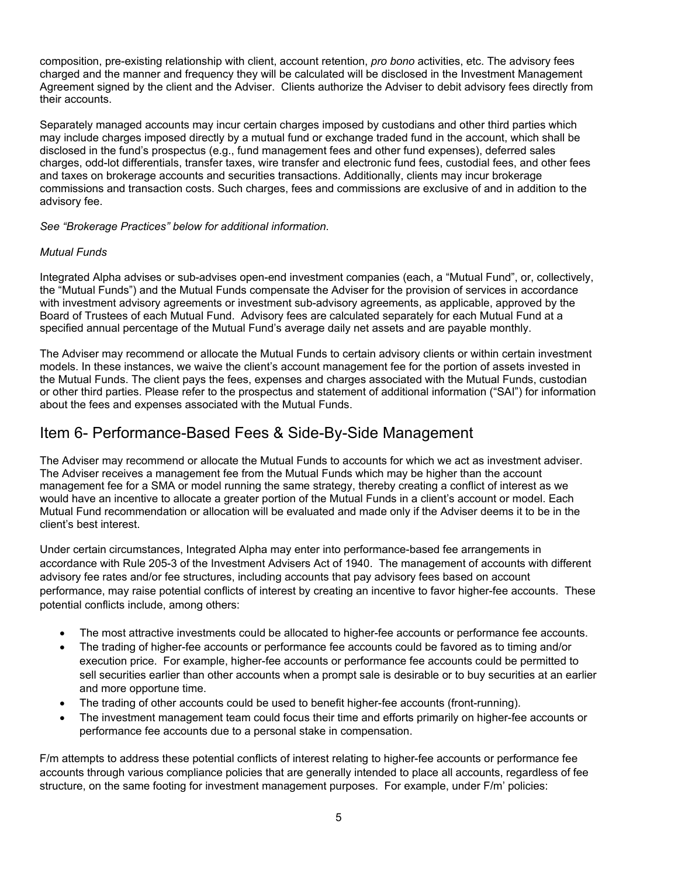composition, pre-existing relationship with client, account retention, *pro bono* activities, etc. The advisory fees charged and the manner and frequency they will be calculated will be disclosed in the Investment Management Agreement signed by the client and the Adviser. Clients authorize the Adviser to debit advisory fees directly from their accounts.

Separately managed accounts may incur certain charges imposed by custodians and other third parties which may include charges imposed directly by a mutual fund or exchange traded fund in the account, which shall be disclosed in the fund's prospectus (e.g., fund management fees and other fund expenses), deferred sales charges, odd-lot differentials, transfer taxes, wire transfer and electronic fund fees, custodial fees, and other fees and taxes on brokerage accounts and securities transactions. Additionally, clients may incur brokerage commissions and transaction costs. Such charges, fees and commissions are exclusive of and in addition to the advisory fee.

*See "Brokerage Practices" below for additional information.* 

#### *Mutual Funds*

Integrated Alpha advises or sub-advises open-end investment companies (each, a "Mutual Fund", or, collectively, the "Mutual Funds") and the Mutual Funds compensate the Adviser for the provision of services in accordance with investment advisory agreements or investment sub-advisory agreements, as applicable, approved by the Board of Trustees of each Mutual Fund. Advisory fees are calculated separately for each Mutual Fund at a specified annual percentage of the Mutual Fund's average daily net assets and are payable monthly.

The Adviser may recommend or allocate the Mutual Funds to certain advisory clients or within certain investment models. In these instances, we waive the client's account management fee for the portion of assets invested in the Mutual Funds. The client pays the fees, expenses and charges associated with the Mutual Funds, custodian or other third parties. Please refer to the prospectus and statement of additional information ("SAI") for information about the fees and expenses associated with the Mutual Funds.

### <span id="page-4-0"></span>Item 6- Performance-Based Fees & Side-By-Side Management

The Adviser may recommend or allocate the Mutual Funds to accounts for which we act as investment adviser. The Adviser receives a management fee from the Mutual Funds which may be higher than the account management fee for a SMA or model running the same strategy, thereby creating a conflict of interest as we would have an incentive to allocate a greater portion of the Mutual Funds in a client's account or model. Each Mutual Fund recommendation or allocation will be evaluated and made only if the Adviser deems it to be in the client's best interest.

Under certain circumstances, Integrated Alpha may enter into performance-based fee arrangements in accordance with Rule 205-3 of the Investment Advisers Act of 1940. The management of accounts with different advisory fee rates and/or fee structures, including accounts that pay advisory fees based on account performance, may raise potential conflicts of interest by creating an incentive to favor higher-fee accounts. These potential conflicts include, among others:

- The most attractive investments could be allocated to higher-fee accounts or performance fee accounts.
- The trading of higher-fee accounts or performance fee accounts could be favored as to timing and/or execution price. For example, higher-fee accounts or performance fee accounts could be permitted to sell securities earlier than other accounts when a prompt sale is desirable or to buy securities at an earlier and more opportune time.
- The trading of other accounts could be used to benefit higher-fee accounts (front-running).
- The investment management team could focus their time and efforts primarily on higher-fee accounts or performance fee accounts due to a personal stake in compensation.

F/m attempts to address these potential conflicts of interest relating to higher-fee accounts or performance fee accounts through various compliance policies that are generally intended to place all accounts, regardless of fee structure, on the same footing for investment management purposes. For example, under F/m' policies: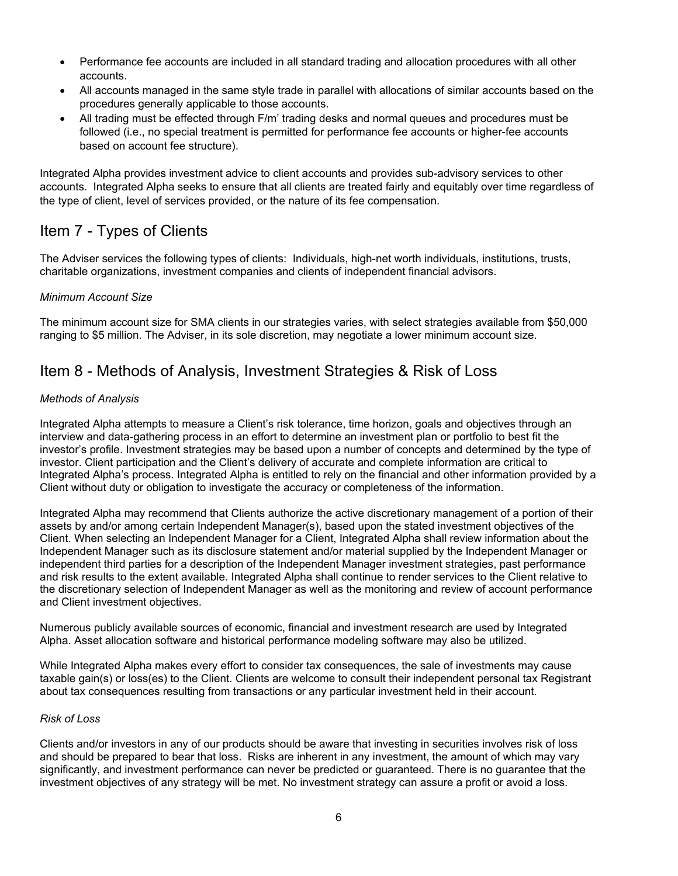- Performance fee accounts are included in all standard trading and allocation procedures with all other accounts.
- All accounts managed in the same style trade in parallel with allocations of similar accounts based on the procedures generally applicable to those accounts.
- All trading must be effected through F/m' trading desks and normal queues and procedures must be followed (i.e., no special treatment is permitted for performance fee accounts or higher-fee accounts based on account fee structure).

Integrated Alpha provides investment advice to client accounts and provides sub-advisory services to other accounts. Integrated Alpha seeks to ensure that all clients are treated fairly and equitably over time regardless of the type of client, level of services provided, or the nature of its fee compensation.

### <span id="page-5-0"></span>Item 7 - Types of Clients

The Adviser services the following types of clients: Individuals, high-net worth individuals, institutions, trusts, charitable organizations, investment companies and clients of independent financial advisors.

#### *Minimum Account Size*

The minimum account size for SMA clients in our strategies varies, with select strategies available from \$50,000 ranging to \$5 million. The Adviser, in its sole discretion, may negotiate a lower minimum account size.

### <span id="page-5-1"></span>Item 8 - Methods of Analysis, Investment Strategies & Risk of Loss

#### *Methods of Analysis*

Integrated Alpha attempts to measure a Client's risk tolerance, time horizon, goals and objectives through an interview and data-gathering process in an effort to determine an investment plan or portfolio to best fit the investor's profile. Investment strategies may be based upon a number of concepts and determined by the type of investor. Client participation and the Client's delivery of accurate and complete information are critical to Integrated Alpha's process. Integrated Alpha is entitled to rely on the financial and other information provided by a Client without duty or obligation to investigate the accuracy or completeness of the information.

Integrated Alpha may recommend that Clients authorize the active discretionary management of a portion of their assets by and/or among certain Independent Manager(s), based upon the stated investment objectives of the Client. When selecting an Independent Manager for a Client, Integrated Alpha shall review information about the Independent Manager such as its disclosure statement and/or material supplied by the Independent Manager or independent third parties for a description of the Independent Manager investment strategies, past performance and risk results to the extent available. Integrated Alpha shall continue to render services to the Client relative to the discretionary selection of Independent Manager as well as the monitoring and review of account performance and Client investment objectives.

Numerous publicly available sources of economic, financial and investment research are used by Integrated Alpha. Asset allocation software and historical performance modeling software may also be utilized.

While Integrated Alpha makes every effort to consider tax consequences, the sale of investments may cause taxable gain(s) or loss(es) to the Client. Clients are welcome to consult their independent personal tax Registrant about tax consequences resulting from transactions or any particular investment held in their account.

#### *Risk of Loss*

Clients and/or investors in any of our products should be aware that investing in securities involves risk of loss and should be prepared to bear that loss. Risks are inherent in any investment, the amount of which may vary significantly, and investment performance can never be predicted or guaranteed. There is no guarantee that the investment objectives of any strategy will be met. No investment strategy can assure a profit or avoid a loss.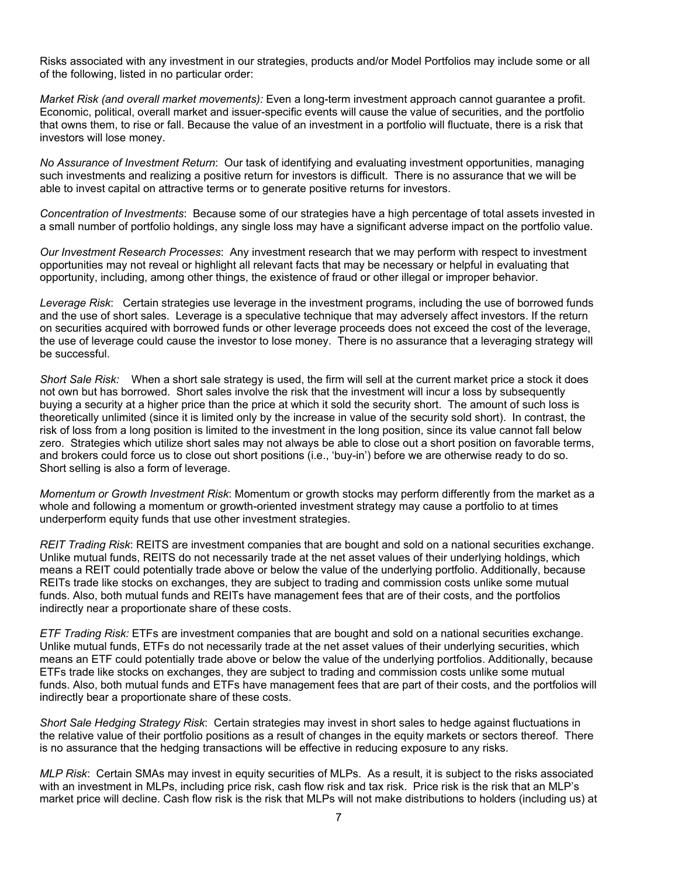Risks associated with any investment in our strategies, products and/or Model Portfolios may include some or all of the following, listed in no particular order:

*Market Risk (and overall market movements):* Even a long-term investment approach cannot guarantee a profit. Economic, political, overall market and issuer-specific events will cause the value of securities, and the portfolio that owns them, to rise or fall. Because the value of an investment in a portfolio will fluctuate, there is a risk that investors will lose money.

*No Assurance of Investment Return*: Our task of identifying and evaluating investment opportunities, managing such investments and realizing a positive return for investors is difficult. There is no assurance that we will be able to invest capital on attractive terms or to generate positive returns for investors.

*Concentration of Investments*: Because some of our strategies have a high percentage of total assets invested in a small number of portfolio holdings, any single loss may have a significant adverse impact on the portfolio value.

*Our Investment Research Processes*: Any investment research that we may perform with respect to investment opportunities may not reveal or highlight all relevant facts that may be necessary or helpful in evaluating that opportunity, including, among other things, the existence of fraud or other illegal or improper behavior.

*Leverage Risk*: Certain strategies use leverage in the investment programs, including the use of borrowed funds and the use of short sales. Leverage is a speculative technique that may adversely affect investors. If the return on securities acquired with borrowed funds or other leverage proceeds does not exceed the cost of the leverage, the use of leverage could cause the investor to lose money. There is no assurance that a leveraging strategy will be successful.

*Short Sale Risk:* When a short sale strategy is used, the firm will sell at the current market price a stock it does not own but has borrowed. Short sales involve the risk that the investment will incur a loss by subsequently buying a security at a higher price than the price at which it sold the security short. The amount of such loss is theoretically unlimited (since it is limited only by the increase in value of the security sold short). In contrast, the risk of loss from a long position is limited to the investment in the long position, since its value cannot fall below zero. Strategies which utilize short sales may not always be able to close out a short position on favorable terms, and brokers could force us to close out short positions (i.e., 'buy-in') before we are otherwise ready to do so. Short selling is also a form of leverage.

*Momentum or Growth Investment Risk*: Momentum or growth stocks may perform differently from the market as a whole and following a momentum or growth-oriented investment strategy may cause a portfolio to at times underperform equity funds that use other investment strategies.

*REIT Trading Risk*: REITS are investment companies that are bought and sold on a national securities exchange. Unlike mutual funds, REITS do not necessarily trade at the net asset values of their underlying holdings, which means a REIT could potentially trade above or below the value of the underlying portfolio. Additionally, because REITs trade like stocks on exchanges, they are subject to trading and commission costs unlike some mutual funds. Also, both mutual funds and REITs have management fees that are of their costs, and the portfolios indirectly near a proportionate share of these costs.

*ETF Trading Risk:* ETFs are investment companies that are bought and sold on a national securities exchange. Unlike mutual funds, ETFs do not necessarily trade at the net asset values of their underlying securities, which means an ETF could potentially trade above or below the value of the underlying portfolios. Additionally, because ETFs trade like stocks on exchanges, they are subject to trading and commission costs unlike some mutual funds. Also, both mutual funds and ETFs have management fees that are part of their costs, and the portfolios will indirectly bear a proportionate share of these costs.

*Short Sale Hedging Strategy Risk*: Certain strategies may invest in short sales to hedge against fluctuations in the relative value of their portfolio positions as a result of changes in the equity markets or sectors thereof. There is no assurance that the hedging transactions will be effective in reducing exposure to any risks.

*MLP Risk*: Certain SMAs may invest in equity securities of MLPs. As a result, it is subject to the risks associated with an investment in MLPs, including price risk, cash flow risk and tax risk. Price risk is the risk that an MLP's market price will decline. Cash flow risk is the risk that MLPs will not make distributions to holders (including us) at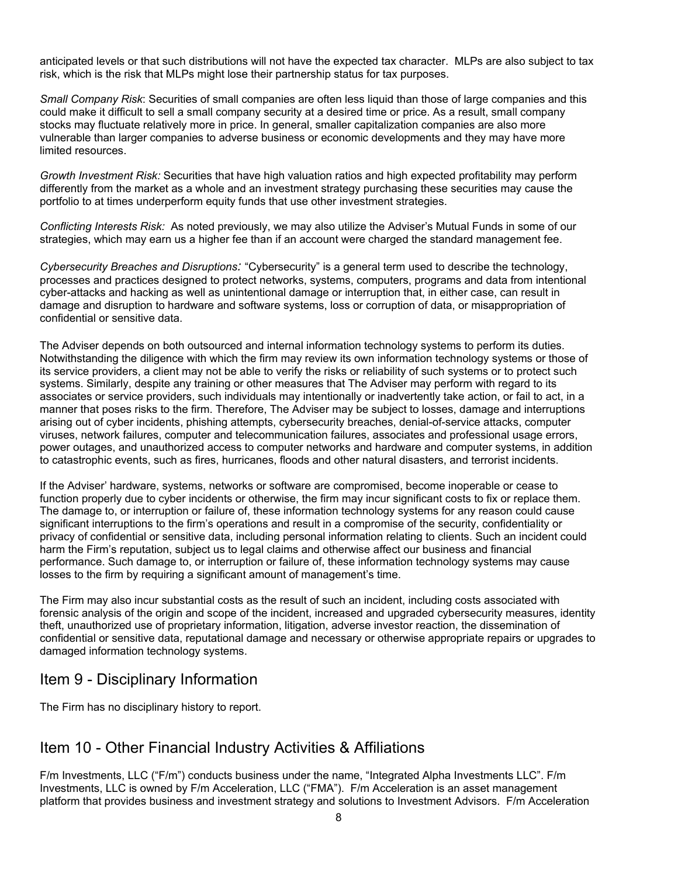anticipated levels or that such distributions will not have the expected tax character. MLPs are also subject to tax risk, which is the risk that MLPs might lose their partnership status for tax purposes.

*Small Company Risk*: Securities of small companies are often less liquid than those of large companies and this could make it difficult to sell a small company security at a desired time or price. As a result, small company stocks may fluctuate relatively more in price. In general, smaller capitalization companies are also more vulnerable than larger companies to adverse business or economic developments and they may have more limited resources.

*Growth Investment Risk:* Securities that have high valuation ratios and high expected profitability may perform differently from the market as a whole and an investment strategy purchasing these securities may cause the portfolio to at times underperform equity funds that use other investment strategies.

*Conflicting Interests Risk:* As noted previously, we may also utilize the Adviser's Mutual Funds in some of our strategies, which may earn us a higher fee than if an account were charged the standard management fee.

*Cybersecurity Breaches and Disruptions:* "Cybersecurity" is a general term used to describe the technology, processes and practices designed to protect networks, systems, computers, programs and data from intentional cyber-attacks and hacking as well as unintentional damage or interruption that, in either case, can result in damage and disruption to hardware and software systems, loss or corruption of data, or misappropriation of confidential or sensitive data.

The Adviser depends on both outsourced and internal information technology systems to perform its duties. Notwithstanding the diligence with which the firm may review its own information technology systems or those of its service providers, a client may not be able to verify the risks or reliability of such systems or to protect such systems. Similarly, despite any training or other measures that The Adviser may perform with regard to its associates or service providers, such individuals may intentionally or inadvertently take action, or fail to act, in a manner that poses risks to the firm. Therefore, The Adviser may be subject to losses, damage and interruptions arising out of cyber incidents, phishing attempts, cybersecurity breaches, denial-of-service attacks, computer viruses, network failures, computer and telecommunication failures, associates and professional usage errors, power outages, and unauthorized access to computer networks and hardware and computer systems, in addition to catastrophic events, such as fires, hurricanes, floods and other natural disasters, and terrorist incidents.

If the Adviser' hardware, systems, networks or software are compromised, become inoperable or cease to function properly due to cyber incidents or otherwise, the firm may incur significant costs to fix or replace them. The damage to, or interruption or failure of, these information technology systems for any reason could cause significant interruptions to the firm's operations and result in a compromise of the security, confidentiality or privacy of confidential or sensitive data, including personal information relating to clients. Such an incident could harm the Firm's reputation, subject us to legal claims and otherwise affect our business and financial performance. Such damage to, or interruption or failure of, these information technology systems may cause losses to the firm by requiring a significant amount of management's time.

The Firm may also incur substantial costs as the result of such an incident, including costs associated with forensic analysis of the origin and scope of the incident, increased and upgraded cybersecurity measures, identity theft, unauthorized use of proprietary information, litigation, adverse investor reaction, the dissemination of confidential or sensitive data, reputational damage and necessary or otherwise appropriate repairs or upgrades to damaged information technology systems.

### <span id="page-7-0"></span>Item 9 - Disciplinary Information

The Firm has no disciplinary history to report.

### <span id="page-7-1"></span>Item 10 - Other Financial Industry Activities & Affiliations

F/m Investments, LLC ("F/m") conducts business under the name, "Integrated Alpha Investments LLC". F/m Investments, LLC is owned by F/m Acceleration, LLC ("FMA"). F/m Acceleration is an asset management platform that provides business and investment strategy and solutions to Investment Advisors. F/m Acceleration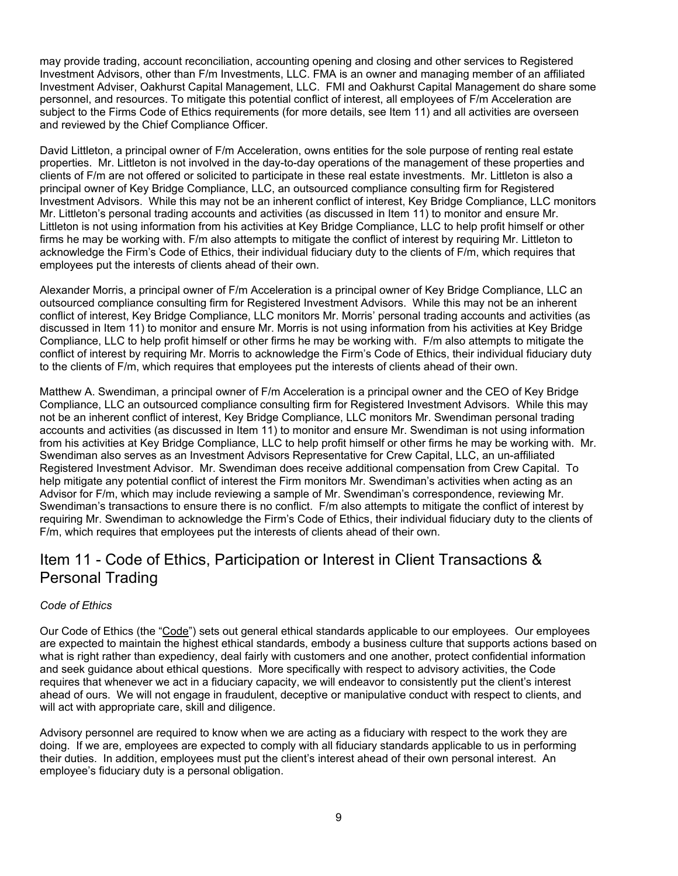may provide trading, account reconciliation, accounting opening and closing and other services to Registered Investment Advisors, other than F/m Investments, LLC. FMA is an owner and managing member of an affiliated Investment Adviser, Oakhurst Capital Management, LLC. FMI and Oakhurst Capital Management do share some personnel, and resources. To mitigate this potential conflict of interest, all employees of F/m Acceleration are subject to the Firms Code of Ethics requirements (for more details, see Item 11) and all activities are overseen and reviewed by the Chief Compliance Officer.

David Littleton, a principal owner of F/m Acceleration, owns entities for the sole purpose of renting real estate properties. Mr. Littleton is not involved in the day-to-day operations of the management of these properties and clients of F/m are not offered or solicited to participate in these real estate investments. Mr. Littleton is also a principal owner of Key Bridge Compliance, LLC, an outsourced compliance consulting firm for Registered Investment Advisors. While this may not be an inherent conflict of interest, Key Bridge Compliance, LLC monitors Mr. Littleton's personal trading accounts and activities (as discussed in Item 11) to monitor and ensure Mr. Littleton is not using information from his activities at Key Bridge Compliance, LLC to help profit himself or other firms he may be working with. F/m also attempts to mitigate the conflict of interest by requiring Mr. Littleton to acknowledge the Firm's Code of Ethics, their individual fiduciary duty to the clients of F/m, which requires that employees put the interests of clients ahead of their own.

Alexander Morris, a principal owner of F/m Acceleration is a principal owner of Key Bridge Compliance, LLC an outsourced compliance consulting firm for Registered Investment Advisors. While this may not be an inherent conflict of interest, Key Bridge Compliance, LLC monitors Mr. Morris' personal trading accounts and activities (as discussed in Item 11) to monitor and ensure Mr. Morris is not using information from his activities at Key Bridge Compliance, LLC to help profit himself or other firms he may be working with. F/m also attempts to mitigate the conflict of interest by requiring Mr. Morris to acknowledge the Firm's Code of Ethics, their individual fiduciary duty to the clients of F/m, which requires that employees put the interests of clients ahead of their own.

Matthew A. Swendiman, a principal owner of F/m Acceleration is a principal owner and the CEO of Key Bridge Compliance, LLC an outsourced compliance consulting firm for Registered Investment Advisors. While this may not be an inherent conflict of interest, Key Bridge Compliance, LLC monitors Mr. Swendiman personal trading accounts and activities (as discussed in Item 11) to monitor and ensure Mr. Swendiman is not using information from his activities at Key Bridge Compliance, LLC to help profit himself or other firms he may be working with. Mr. Swendiman also serves as an Investment Advisors Representative for Crew Capital, LLC, an un-affiliated Registered Investment Advisor. Mr. Swendiman does receive additional compensation from Crew Capital. To help mitigate any potential conflict of interest the Firm monitors Mr. Swendiman's activities when acting as an Advisor for F/m, which may include reviewing a sample of Mr. Swendiman's correspondence, reviewing Mr. Swendiman's transactions to ensure there is no conflict. F/m also attempts to mitigate the conflict of interest by requiring Mr. Swendiman to acknowledge the Firm's Code of Ethics, their individual fiduciary duty to the clients of F/m, which requires that employees put the interests of clients ahead of their own.

### <span id="page-8-0"></span>Item 11 - Code of Ethics, Participation or Interest in Client Transactions & Personal Trading

#### *Code of Ethics*

Our Code of Ethics (the "Code") sets out general ethical standards applicable to our employees. Our employees are expected to maintain the highest ethical standards, embody a business culture that supports actions based on what is right rather than expediency, deal fairly with customers and one another, protect confidential information and seek guidance about ethical questions. More specifically with respect to advisory activities, the Code requires that whenever we act in a fiduciary capacity, we will endeavor to consistently put the client's interest ahead of ours. We will not engage in fraudulent, deceptive or manipulative conduct with respect to clients, and will act with appropriate care, skill and diligence.

Advisory personnel are required to know when we are acting as a fiduciary with respect to the work they are doing. If we are, employees are expected to comply with all fiduciary standards applicable to us in performing their duties. In addition, employees must put the client's interest ahead of their own personal interest. An employee's fiduciary duty is a personal obligation.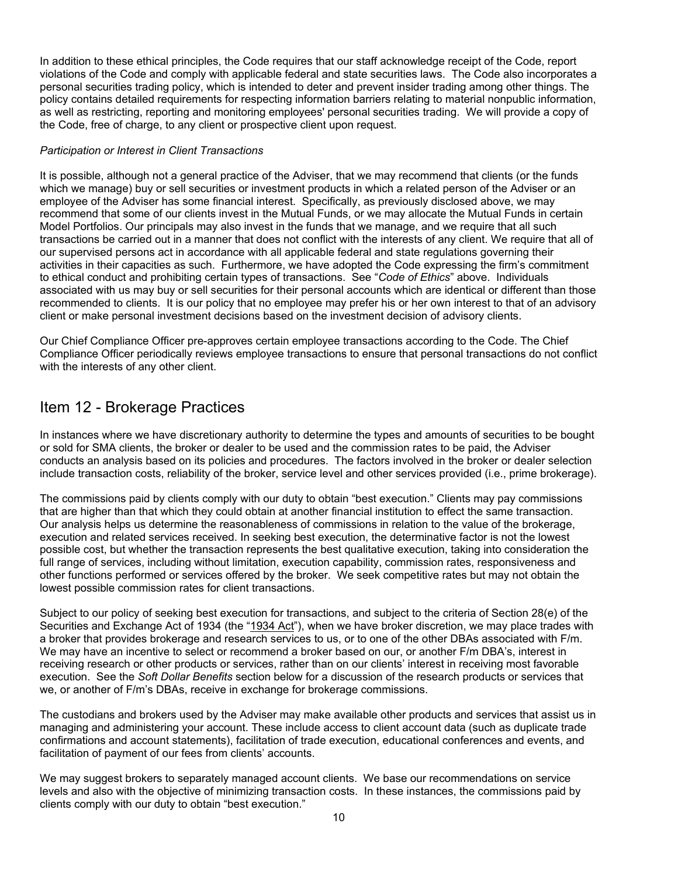In addition to these ethical principles, the Code requires that our staff acknowledge receipt of the Code, report violations of the Code and comply with applicable federal and state securities laws. The Code also incorporates a personal securities trading policy, which is intended to deter and prevent insider trading among other things. The policy contains detailed requirements for respecting information barriers relating to material nonpublic information, as well as restricting, reporting and monitoring employees' personal securities trading. We will provide a copy of the Code, free of charge, to any client or prospective client upon request.

#### *Participation or Interest in Client Transactions*

It is possible, although not a general practice of the Adviser, that we may recommend that clients (or the funds which we manage) buy or sell securities or investment products in which a related person of the Adviser or an employee of the Adviser has some financial interest. Specifically, as previously disclosed above, we may recommend that some of our clients invest in the Mutual Funds, or we may allocate the Mutual Funds in certain Model Portfolios. Our principals may also invest in the funds that we manage, and we require that all such transactions be carried out in a manner that does not conflict with the interests of any client. We require that all of our supervised persons act in accordance with all applicable federal and state regulations governing their activities in their capacities as such. Furthermore, we have adopted the Code expressing the firm's commitment to ethical conduct and prohibiting certain types of transactions. See "*Code of Ethics*" above. Individuals associated with us may buy or sell securities for their personal accounts which are identical or different than those recommended to clients. It is our policy that no employee may prefer his or her own interest to that of an advisory client or make personal investment decisions based on the investment decision of advisory clients.

Our Chief Compliance Officer pre-approves certain employee transactions according to the Code. The Chief Compliance Officer periodically reviews employee transactions to ensure that personal transactions do not conflict with the interests of any other client.

### <span id="page-9-0"></span>Item 12 - Brokerage Practices

In instances where we have discretionary authority to determine the types and amounts of securities to be bought or sold for SMA clients, the broker or dealer to be used and the commission rates to be paid, the Adviser conducts an analysis based on its policies and procedures. The factors involved in the broker or dealer selection include transaction costs, reliability of the broker, service level and other services provided (i.e., prime brokerage).

The commissions paid by clients comply with our duty to obtain "best execution." Clients may pay commissions that are higher than that which they could obtain at another financial institution to effect the same transaction. Our analysis helps us determine the reasonableness of commissions in relation to the value of the brokerage, execution and related services received. In seeking best execution, the determinative factor is not the lowest possible cost, but whether the transaction represents the best qualitative execution, taking into consideration the full range of services, including without limitation, execution capability, commission rates, responsiveness and other functions performed or services offered by the broker. We seek competitive rates but may not obtain the lowest possible commission rates for client transactions.

Subject to our policy of seeking best execution for transactions, and subject to the criteria of Section 28(e) of the Securities and Exchange Act of 1934 (the "1934 Act"), when we have broker discretion, we may place trades with a broker that provides brokerage and research services to us, or to one of the other DBAs associated with F/m. We may have an incentive to select or recommend a broker based on our, or another F/m DBA's, interest in receiving research or other products or services, rather than on our clients' interest in receiving most favorable execution. See the *Soft Dollar Benefits* section below for a discussion of the research products or services that we, or another of F/m's DBAs, receive in exchange for brokerage commissions.

The custodians and brokers used by the Adviser may make available other products and services that assist us in managing and administering your account. These include access to client account data (such as duplicate trade confirmations and account statements), facilitation of trade execution, educational conferences and events, and facilitation of payment of our fees from clients' accounts.

We may suggest brokers to separately managed account clients. We base our recommendations on service levels and also with the objective of minimizing transaction costs. In these instances, the commissions paid by clients comply with our duty to obtain "best execution."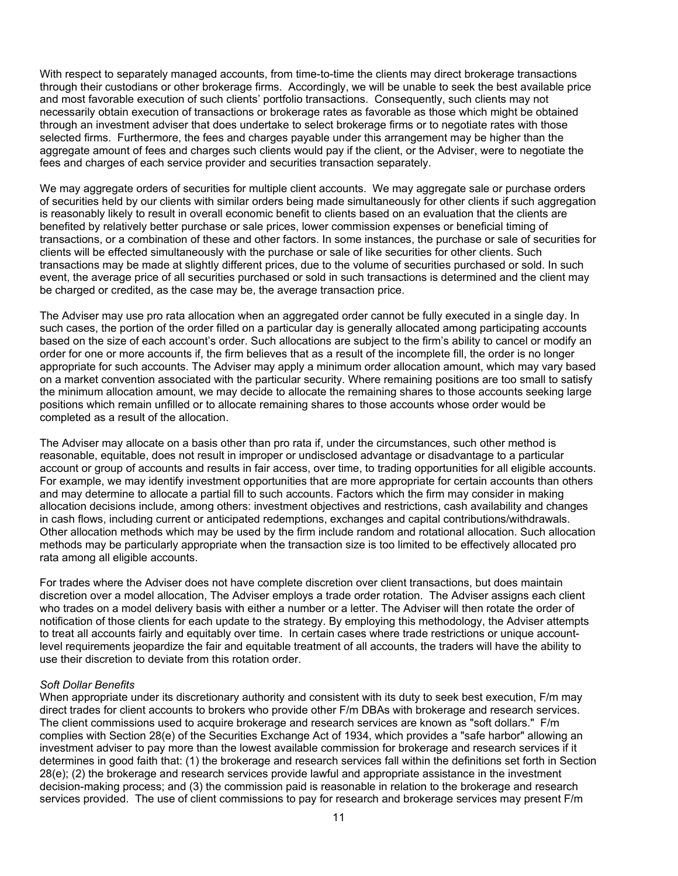With respect to separately managed accounts, from time-to-time the clients may direct brokerage transactions through their custodians or other brokerage firms. Accordingly, we will be unable to seek the best available price and most favorable execution of such clients' portfolio transactions. Consequently, such clients may not necessarily obtain execution of transactions or brokerage rates as favorable as those which might be obtained through an investment adviser that does undertake to select brokerage firms or to negotiate rates with those selected firms. Furthermore, the fees and charges payable under this arrangement may be higher than the aggregate amount of fees and charges such clients would pay if the client, or the Adviser, were to negotiate the fees and charges of each service provider and securities transaction separately.

We may aggregate orders of securities for multiple client accounts. We may aggregate sale or purchase orders of securities held by our clients with similar orders being made simultaneously for other clients if such aggregation is reasonably likely to result in overall economic benefit to clients based on an evaluation that the clients are benefited by relatively better purchase or sale prices, lower commission expenses or beneficial timing of transactions, or a combination of these and other factors. In some instances, the purchase or sale of securities for clients will be effected simultaneously with the purchase or sale of like securities for other clients. Such transactions may be made at slightly different prices, due to the volume of securities purchased or sold. In such event, the average price of all securities purchased or sold in such transactions is determined and the client may be charged or credited, as the case may be, the average transaction price.

The Adviser may use pro rata allocation when an aggregated order cannot be fully executed in a single day. In such cases, the portion of the order filled on a particular day is generally allocated among participating accounts based on the size of each account's order. Such allocations are subject to the firm's ability to cancel or modify an order for one or more accounts if, the firm believes that as a result of the incomplete fill, the order is no longer appropriate for such accounts. The Adviser may apply a minimum order allocation amount, which may vary based on a market convention associated with the particular security. Where remaining positions are too small to satisfy the minimum allocation amount, we may decide to allocate the remaining shares to those accounts seeking large positions which remain unfilled or to allocate remaining shares to those accounts whose order would be completed as a result of the allocation.

The Adviser may allocate on a basis other than pro rata if, under the circumstances, such other method is reasonable, equitable, does not result in improper or undisclosed advantage or disadvantage to a particular account or group of accounts and results in fair access, over time, to trading opportunities for all eligible accounts. For example, we may identify investment opportunities that are more appropriate for certain accounts than others and may determine to allocate a partial fill to such accounts. Factors which the firm may consider in making allocation decisions include, among others: investment objectives and restrictions, cash availability and changes in cash flows, including current or anticipated redemptions, exchanges and capital contributions/withdrawals. Other allocation methods which may be used by the firm include random and rotational allocation. Such allocation methods may be particularly appropriate when the transaction size is too limited to be effectively allocated pro rata among all eligible accounts.

For trades where the Adviser does not have complete discretion over client transactions, but does maintain discretion over a model allocation, The Adviser employs a trade order rotation. The Adviser assigns each client who trades on a model delivery basis with either a number or a letter. The Adviser will then rotate the order of notification of those clients for each update to the strategy. By employing this methodology, the Adviser attempts to treat all accounts fairly and equitably over time. In certain cases where trade restrictions or unique accountlevel requirements jeopardize the fair and equitable treatment of all accounts, the traders will have the ability to use their discretion to deviate from this rotation order.

#### *Soft Dollar Benefits*

When appropriate under its discretionary authority and consistent with its duty to seek best execution, F/m may direct trades for client accounts to brokers who provide other F/m DBAs with brokerage and research services. The client commissions used to acquire brokerage and research services are known as "soft dollars." F/m complies with Section 28(e) of the Securities Exchange Act of 1934, which provides a "safe harbor" allowing an investment adviser to pay more than the lowest available commission for brokerage and research services if it determines in good faith that: (1) the brokerage and research services fall within the definitions set forth in Section 28(e); (2) the brokerage and research services provide lawful and appropriate assistance in the investment decision-making process; and (3) the commission paid is reasonable in relation to the brokerage and research services provided. The use of client commissions to pay for research and brokerage services may present F/m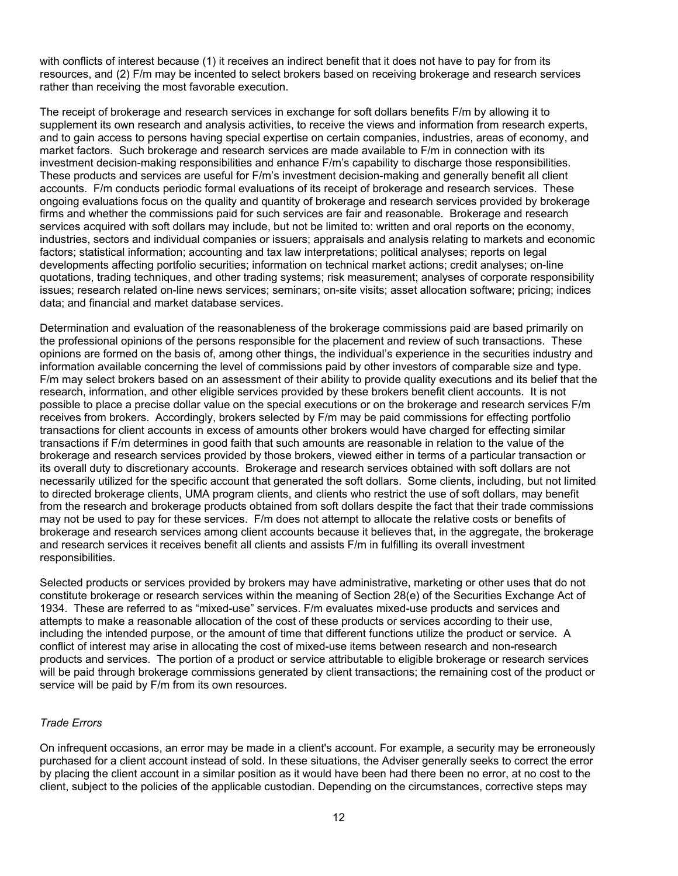with conflicts of interest because (1) it receives an indirect benefit that it does not have to pay for from its resources, and (2) F/m may be incented to select brokers based on receiving brokerage and research services rather than receiving the most favorable execution.

The receipt of brokerage and research services in exchange for soft dollars benefits F/m by allowing it to supplement its own research and analysis activities, to receive the views and information from research experts, and to gain access to persons having special expertise on certain companies, industries, areas of economy, and market factors. Such brokerage and research services are made available to F/m in connection with its investment decision-making responsibilities and enhance F/m's capability to discharge those responsibilities. These products and services are useful for F/m's investment decision-making and generally benefit all client accounts. F/m conducts periodic formal evaluations of its receipt of brokerage and research services. These ongoing evaluations focus on the quality and quantity of brokerage and research services provided by brokerage firms and whether the commissions paid for such services are fair and reasonable. Brokerage and research services acquired with soft dollars may include, but not be limited to: written and oral reports on the economy, industries, sectors and individual companies or issuers; appraisals and analysis relating to markets and economic factors; statistical information; accounting and tax law interpretations; political analyses; reports on legal developments affecting portfolio securities; information on technical market actions; credit analyses; on-line quotations, trading techniques, and other trading systems; risk measurement; analyses of corporate responsibility issues; research related on-line news services; seminars; on-site visits; asset allocation software; pricing; indices data; and financial and market database services.

Determination and evaluation of the reasonableness of the brokerage commissions paid are based primarily on the professional opinions of the persons responsible for the placement and review of such transactions. These opinions are formed on the basis of, among other things, the individual's experience in the securities industry and information available concerning the level of commissions paid by other investors of comparable size and type. F/m may select brokers based on an assessment of their ability to provide quality executions and its belief that the research, information, and other eligible services provided by these brokers benefit client accounts. It is not possible to place a precise dollar value on the special executions or on the brokerage and research services F/m receives from brokers. Accordingly, brokers selected by F/m may be paid commissions for effecting portfolio transactions for client accounts in excess of amounts other brokers would have charged for effecting similar transactions if F/m determines in good faith that such amounts are reasonable in relation to the value of the brokerage and research services provided by those brokers, viewed either in terms of a particular transaction or its overall duty to discretionary accounts. Brokerage and research services obtained with soft dollars are not necessarily utilized for the specific account that generated the soft dollars. Some clients, including, but not limited to directed brokerage clients, UMA program clients, and clients who restrict the use of soft dollars, may benefit from the research and brokerage products obtained from soft dollars despite the fact that their trade commissions may not be used to pay for these services. F/m does not attempt to allocate the relative costs or benefits of brokerage and research services among client accounts because it believes that, in the aggregate, the brokerage and research services it receives benefit all clients and assists F/m in fulfilling its overall investment responsibilities.

Selected products or services provided by brokers may have administrative, marketing or other uses that do not constitute brokerage or research services within the meaning of Section 28(e) of the Securities Exchange Act of 1934. These are referred to as "mixed-use" services. F/m evaluates mixed-use products and services and attempts to make a reasonable allocation of the cost of these products or services according to their use, including the intended purpose, or the amount of time that different functions utilize the product or service. A conflict of interest may arise in allocating the cost of mixed-use items between research and non-research products and services. The portion of a product or service attributable to eligible brokerage or research services will be paid through brokerage commissions generated by client transactions; the remaining cost of the product or service will be paid by F/m from its own resources.

#### *Trade Errors*

On infrequent occasions, an error may be made in a client's account. For example, a security may be erroneously purchased for a client account instead of sold. In these situations, the Adviser generally seeks to correct the error by placing the client account in a similar position as it would have been had there been no error, at no cost to the client, subject to the policies of the applicable custodian. Depending on the circumstances, corrective steps may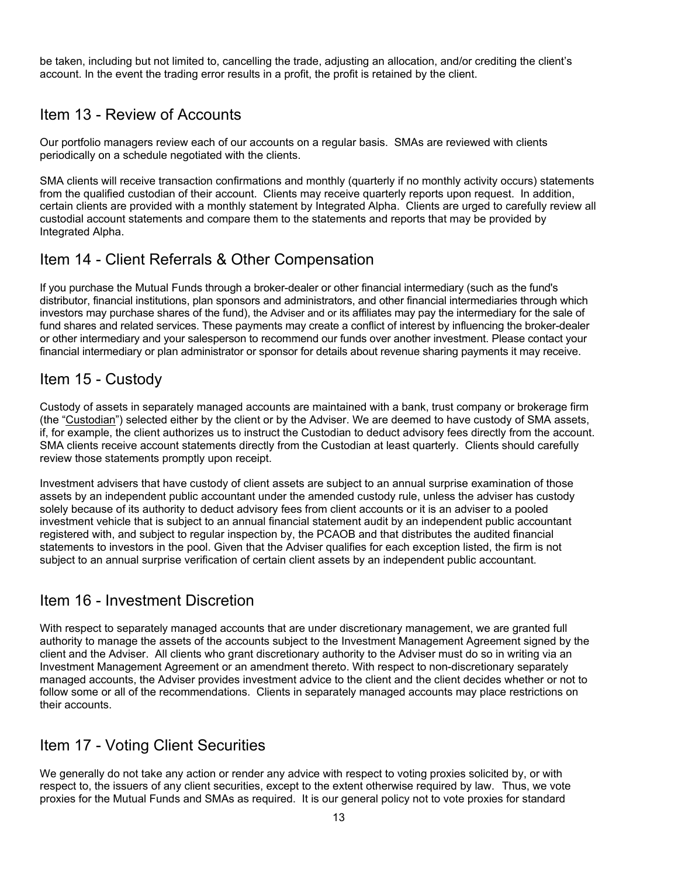be taken, including but not limited to, cancelling the trade, adjusting an allocation, and/or crediting the client's account. In the event the trading error results in a profit, the profit is retained by the client.

### <span id="page-12-0"></span>Item 13 - Review of Accounts

Our portfolio managers review each of our accounts on a regular basis. SMAs are reviewed with clients periodically on a schedule negotiated with the clients.

SMA clients will receive transaction confirmations and monthly (quarterly if no monthly activity occurs) statements from the qualified custodian of their account. Clients may receive quarterly reports upon request. In addition, certain clients are provided with a monthly statement by Integrated Alpha. Clients are urged to carefully review all custodial account statements and compare them to the statements and reports that may be provided by Integrated Alpha.

### <span id="page-12-1"></span>Item 14 - Client Referrals & Other Compensation

If you purchase the Mutual Funds through a broker-dealer or other financial intermediary (such as the fund's distributor, financial institutions, plan sponsors and administrators, and other financial intermediaries through which investors may purchase shares of the fund), the Adviser and or its affiliates may pay the intermediary for the sale of fund shares and related services. These payments may create a conflict of interest by influencing the broker-dealer or other intermediary and your salesperson to recommend our funds over another investment. Please contact your financial intermediary or plan administrator or sponsor for details about revenue sharing payments it may receive.

### <span id="page-12-2"></span>Item 15 - Custody

Custody of assets in separately managed accounts are maintained with a bank, trust company or brokerage firm (the "Custodian") selected either by the client or by the Adviser. We are deemed to have custody of SMA assets, if, for example, the client authorizes us to instruct the Custodian to deduct advisory fees directly from the account. SMA clients receive account statements directly from the Custodian at least quarterly. Clients should carefully review those statements promptly upon receipt.

Investment advisers that have custody of client assets are subject to an annual surprise examination of those assets by an independent public accountant under the amended custody rule, unless the adviser has custody solely because of its authority to deduct advisory fees from client accounts or it is an adviser to a pooled investment vehicle that is subject to an annual financial statement audit by an independent public accountant registered with, and subject to regular inspection by, the PCAOB and that distributes the audited financial statements to investors in the pool. Given that the Adviser qualifies for each exception listed, the firm is not subject to an annual surprise verification of certain client assets by an independent public accountant.

### <span id="page-12-3"></span>Item 16 - Investment Discretion

With respect to separately managed accounts that are under discretionary management, we are granted full authority to manage the assets of the accounts subject to the Investment Management Agreement signed by the client and the Adviser. All clients who grant discretionary authority to the Adviser must do so in writing via an Investment Management Agreement or an amendment thereto. With respect to non-discretionary separately managed accounts, the Adviser provides investment advice to the client and the client decides whether or not to follow some or all of the recommendations. Clients in separately managed accounts may place restrictions on their accounts.

### <span id="page-12-4"></span>Item 17 - Voting Client Securities

We generally do not take any action or render any advice with respect to voting proxies solicited by, or with respect to, the issuers of any client securities, except to the extent otherwise required by law. Thus, we vote proxies for the Mutual Funds and SMAs as required. It is our general policy not to vote proxies for standard